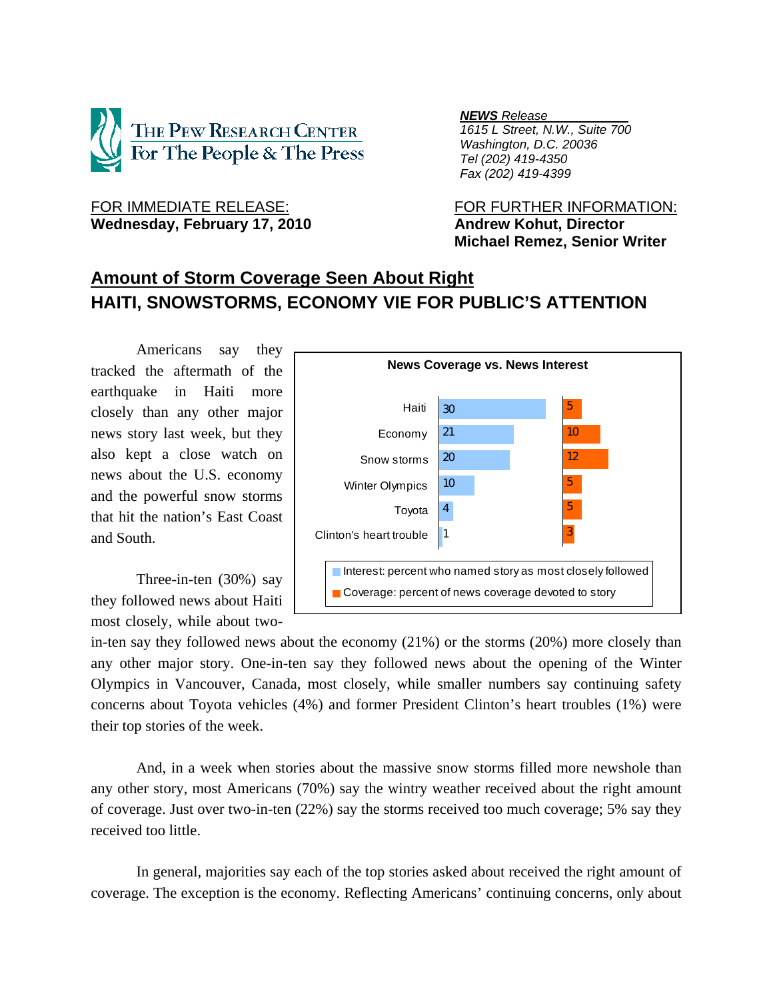

# Wednesday, February 17, 2010 **Andrew Kohut, Director**

*NEWS Release .*

 *1615 L Street, N.W., Suite 700 Washington, D.C. 20036 Tel (202) 419-4350 Fax (202) 419-4399*

FOR IMMEDIATE RELEASE: FOR FURTHER INFORMATION:  **Michael Remez, Senior Writer** 

## **Amount of Storm Coverage Seen About Right HAITI, SNOWSTORMS, ECONOMY VIE FOR PUBLIC'S ATTENTION**

Americans say they tracked the aftermath of the earthquake in Haiti more closely than any other major news story last week, but they also kept a close watch on news about the U.S. economy and the powerful snow storms that hit the nation's East Coast and South.

 Three-in-ten (30%) say they followed news about Haiti most closely, while about two-



in-ten say they followed news about the economy (21%) or the storms (20%) more closely than any other major story. One-in-ten say they followed news about the opening of the Winter Olympics in Vancouver, Canada, most closely, while smaller numbers say continuing safety concerns about Toyota vehicles (4%) and former President Clinton's heart troubles (1%) were their top stories of the week.

 And, in a week when stories about the massive snow storms filled more newshole than any other story, most Americans (70%) say the wintry weather received about the right amount of coverage. Just over two-in-ten (22%) say the storms received too much coverage; 5% say they received too little.

In general, majorities say each of the top stories asked about received the right amount of coverage. The exception is the economy. Reflecting Americans' continuing concerns, only about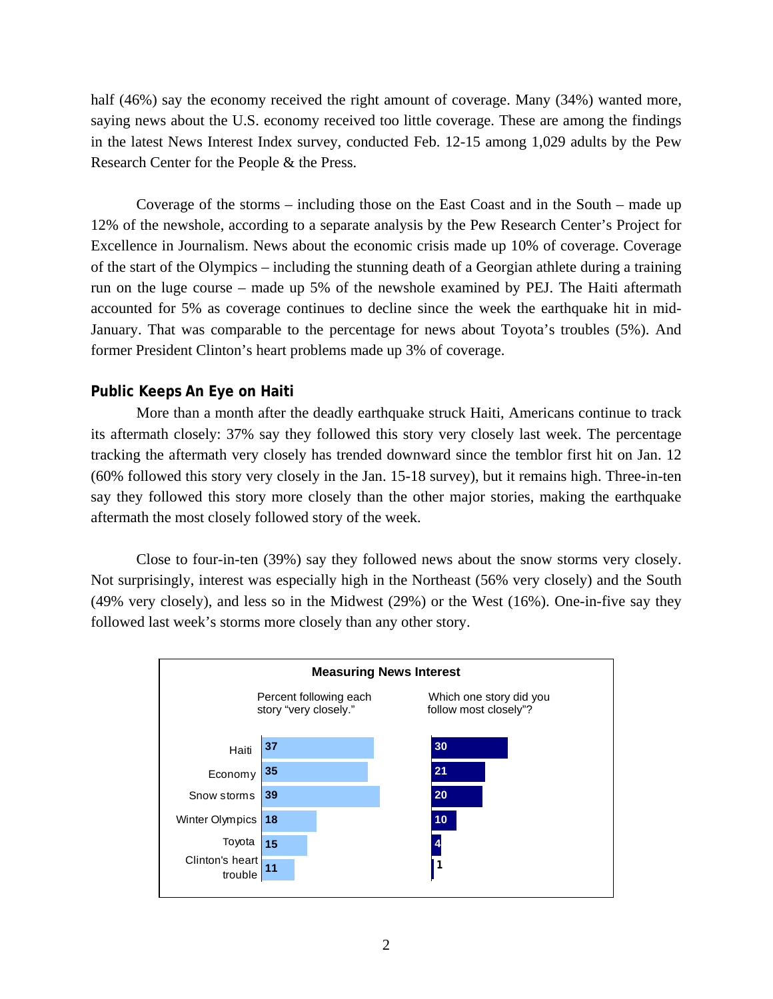half (46%) say the economy received the right amount of coverage. Many (34%) wanted more, saying news about the U.S. economy received too little coverage. These are among the findings in the latest News Interest Index survey, conducted Feb. 12-15 among 1,029 adults by the Pew Research Center for the People & the Press.

 Coverage of the storms – including those on the East Coast and in the South – made up 12% of the newshole, according to a separate analysis by the Pew Research Center's Project for Excellence in Journalism. News about the economic crisis made up 10% of coverage. Coverage of the start of the Olympics – including the stunning death of a Georgian athlete during a training run on the luge course – made up 5% of the newshole examined by PEJ. The Haiti aftermath accounted for 5% as coverage continues to decline since the week the earthquake hit in mid-January. That was comparable to the percentage for news about Toyota's troubles (5%). And former President Clinton's heart problems made up 3% of coverage.

## **Public Keeps An Eye on Haiti**

More than a month after the deadly earthquake struck Haiti, Americans continue to track its aftermath closely: 37% say they followed this story very closely last week. The percentage tracking the aftermath very closely has trended downward since the temblor first hit on Jan. 12 (60% followed this story very closely in the Jan. 15-18 survey), but it remains high. Three-in-ten say they followed this story more closely than the other major stories, making the earthquake aftermath the most closely followed story of the week.

 Close to four-in-ten (39%) say they followed news about the snow storms very closely. Not surprisingly, interest was especially high in the Northeast (56% very closely) and the South (49% very closely), and less so in the Midwest (29%) or the West (16%). One-in-five say they followed last week's storms more closely than any other story.

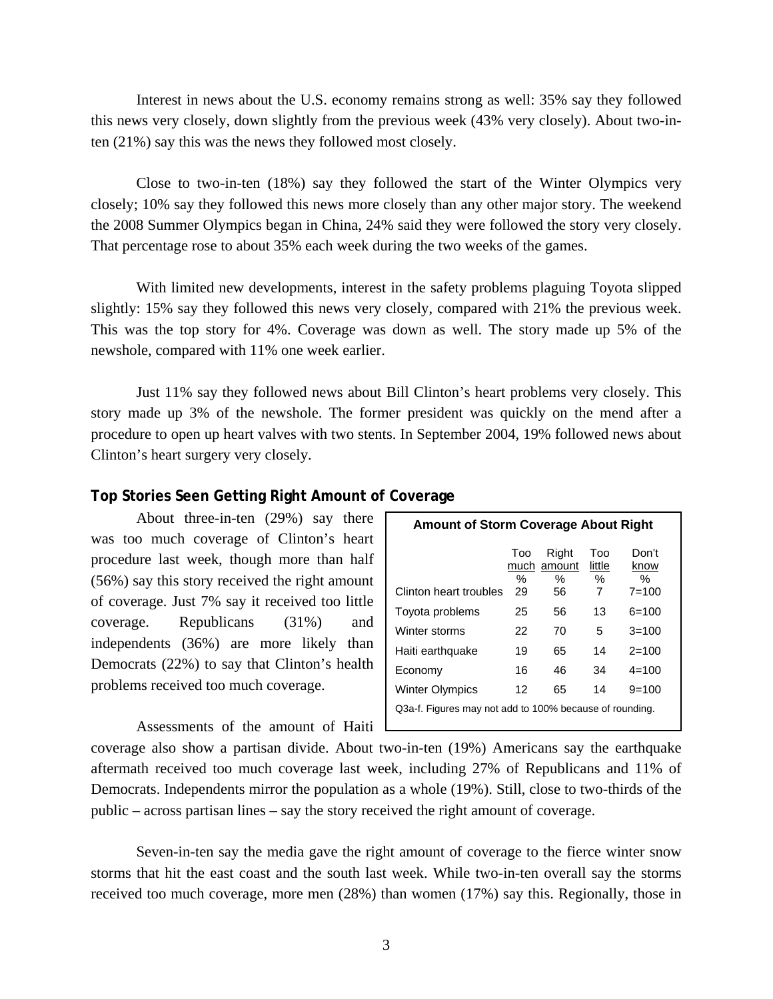Interest in news about the U.S. economy remains strong as well: 35% say they followed this news very closely, down slightly from the previous week (43% very closely). About two-inten (21%) say this was the news they followed most closely.

 Close to two-in-ten (18%) say they followed the start of the Winter Olympics very closely; 10% say they followed this news more closely than any other major story. The weekend the 2008 Summer Olympics began in China, 24% said they were followed the story very closely. That percentage rose to about 35% each week during the two weeks of the games.

 With limited new developments, interest in the safety problems plaguing Toyota slipped slightly: 15% say they followed this news very closely, compared with 21% the previous week. This was the top story for 4%. Coverage was down as well. The story made up 5% of the newshole, compared with 11% one week earlier.

 Just 11% say they followed news about Bill Clinton's heart problems very closely. This story made up 3% of the newshole. The former president was quickly on the mend after a procedure to open up heart valves with two stents. In September 2004, 19% followed news about Clinton's heart surgery very closely.

#### **Top Stories Seen Getting Right Amount of Coverage**

 About three-in-ten (29%) say there was too much coverage of Clinton's heart procedure last week, though more than half (56%) say this story received the right amount of coverage. Just 7% say it received too little coverage. Republicans (31%) and independents (36%) are more likely than Democrats (22%) to say that Clinton's health problems received too much coverage.

Assessments of the amount of Haiti

| <b>Amount of Storm Coverage About Right</b>             |          |                              |                         |                                    |  |  |  |
|---------------------------------------------------------|----------|------------------------------|-------------------------|------------------------------------|--|--|--|
| Clinton heart troubles                                  | Too<br>℅ | Right<br>much amount<br>$\%$ | Too<br>little<br>℅<br>7 | Don't<br>know<br>$\%$<br>$7 = 100$ |  |  |  |
| Toyota problems                                         | 29<br>25 | 56<br>56                     | 13                      | 6=100                              |  |  |  |
| Winter storms                                           | 22       | 70                           | 5                       | $3 = 100$                          |  |  |  |
| Haiti earthquake                                        | 19       | 65                           | 14                      | $2 = 100$                          |  |  |  |
| Economy                                                 | 16       | 46                           | 34                      | $4 = 100$                          |  |  |  |
| <b>Winter Olympics</b>                                  | 12       | 65                           | 14                      | $9 = 100$                          |  |  |  |
| Q3a-f. Figures may not add to 100% because of rounding. |          |                              |                         |                                    |  |  |  |

coverage also show a partisan divide. About two-in-ten (19%) Americans say the earthquake aftermath received too much coverage last week, including 27% of Republicans and 11% of Democrats. Independents mirror the population as a whole (19%). Still, close to two-thirds of the public – across partisan lines – say the story received the right amount of coverage.

 Seven-in-ten say the media gave the right amount of coverage to the fierce winter snow storms that hit the east coast and the south last week. While two-in-ten overall say the storms received too much coverage, more men (28%) than women (17%) say this. Regionally, those in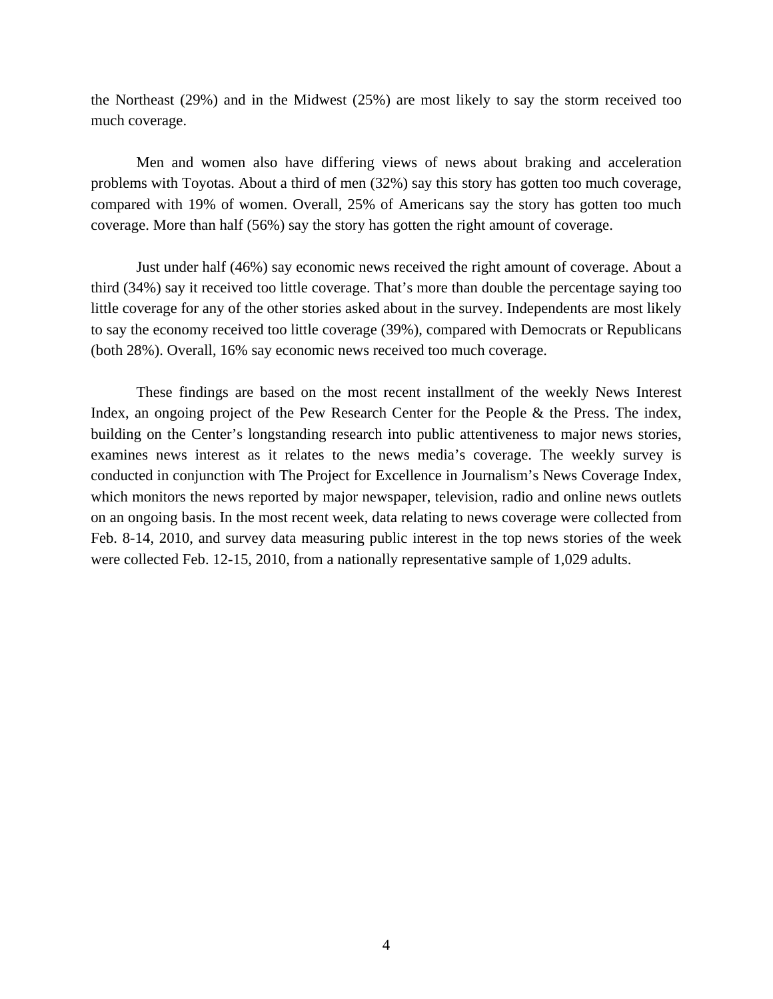the Northeast (29%) and in the Midwest (25%) are most likely to say the storm received too much coverage.

 Men and women also have differing views of news about braking and acceleration problems with Toyotas. About a third of men (32%) say this story has gotten too much coverage, compared with 19% of women. Overall, 25% of Americans say the story has gotten too much coverage. More than half (56%) say the story has gotten the right amount of coverage.

 Just under half (46%) say economic news received the right amount of coverage. About a third (34%) say it received too little coverage. That's more than double the percentage saying too little coverage for any of the other stories asked about in the survey. Independents are most likely to say the economy received too little coverage (39%), compared with Democrats or Republicans (both 28%). Overall, 16% say economic news received too much coverage.

 These findings are based on the most recent installment of the weekly News Interest Index, an ongoing project of the Pew Research Center for the People & the Press. The index, building on the Center's longstanding research into public attentiveness to major news stories, examines news interest as it relates to the news media's coverage. The weekly survey is conducted in conjunction with The Project for Excellence in Journalism's News Coverage Index, which monitors the news reported by major newspaper, television, radio and online news outlets on an ongoing basis. In the most recent week, data relating to news coverage were collected from Feb. 8-14, 2010, and survey data measuring public interest in the top news stories of the week were collected Feb. 12-15, 2010, from a nationally representative sample of 1,029 adults.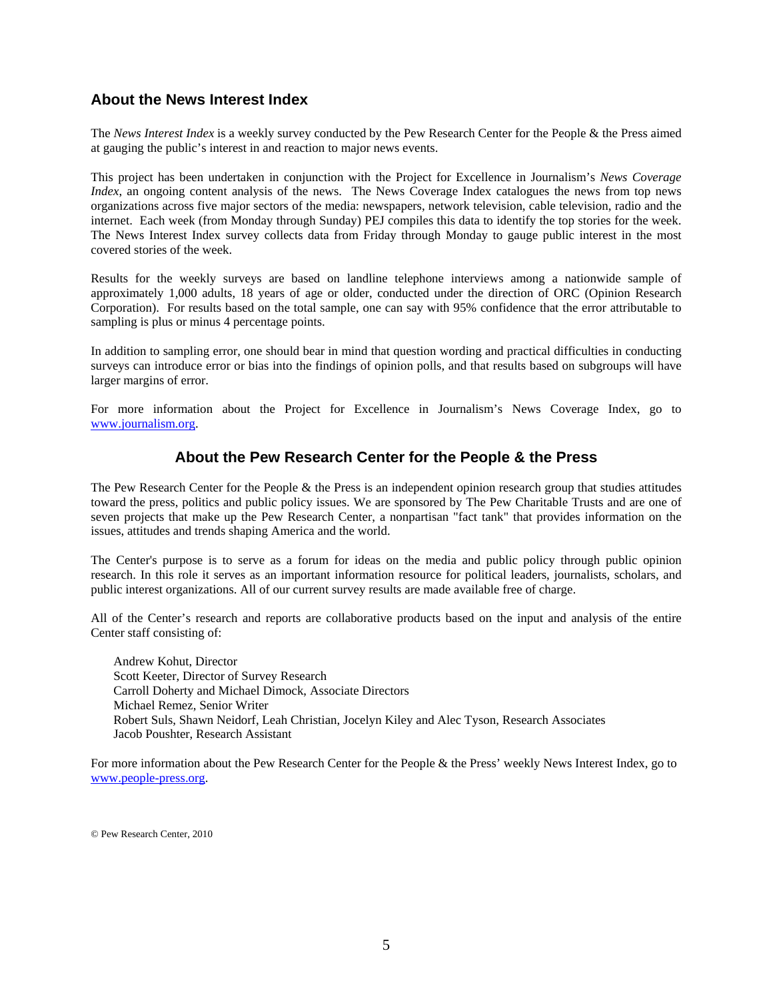## **About the News Interest Index**

The *News Interest Index* is a weekly survey conducted by the Pew Research Center for the People & the Press aimed at gauging the public's interest in and reaction to major news events.

This project has been undertaken in conjunction with the Project for Excellence in Journalism's *News Coverage Index*, an ongoing content analysis of the news. The News Coverage Index catalogues the news from top news organizations across five major sectors of the media: newspapers, network television, cable television, radio and the internet. Each week (from Monday through Sunday) PEJ compiles this data to identify the top stories for the week. The News Interest Index survey collects data from Friday through Monday to gauge public interest in the most covered stories of the week.

Results for the weekly surveys are based on landline telephone interviews among a nationwide sample of approximately 1,000 adults, 18 years of age or older, conducted under the direction of ORC (Opinion Research Corporation). For results based on the total sample, one can say with 95% confidence that the error attributable to sampling is plus or minus 4 percentage points.

In addition to sampling error, one should bear in mind that question wording and practical difficulties in conducting surveys can introduce error or bias into the findings of opinion polls, and that results based on subgroups will have larger margins of error.

For more information about the Project for Excellence in Journalism's News Coverage Index, go to www.journalism.org.

## **About the Pew Research Center for the People & the Press**

The Pew Research Center for the People & the Press is an independent opinion research group that studies attitudes toward the press, politics and public policy issues. We are sponsored by The Pew Charitable Trusts and are one of seven projects that make up the Pew Research Center, a nonpartisan "fact tank" that provides information on the issues, attitudes and trends shaping America and the world.

The Center's purpose is to serve as a forum for ideas on the media and public policy through public opinion research. In this role it serves as an important information resource for political leaders, journalists, scholars, and public interest organizations. All of our current survey results are made available free of charge.

All of the Center's research and reports are collaborative products based on the input and analysis of the entire Center staff consisting of:

 Andrew Kohut, Director Scott Keeter, Director of Survey Research Carroll Doherty and Michael Dimock, Associate Directors Michael Remez, Senior Writer Robert Suls, Shawn Neidorf, Leah Christian, Jocelyn Kiley and Alec Tyson, Research Associates Jacob Poushter, Research Assistant

For more information about the Pew Research Center for the People & the Press' weekly News Interest Index, go to www.people-press.org.

© Pew Research Center, 2010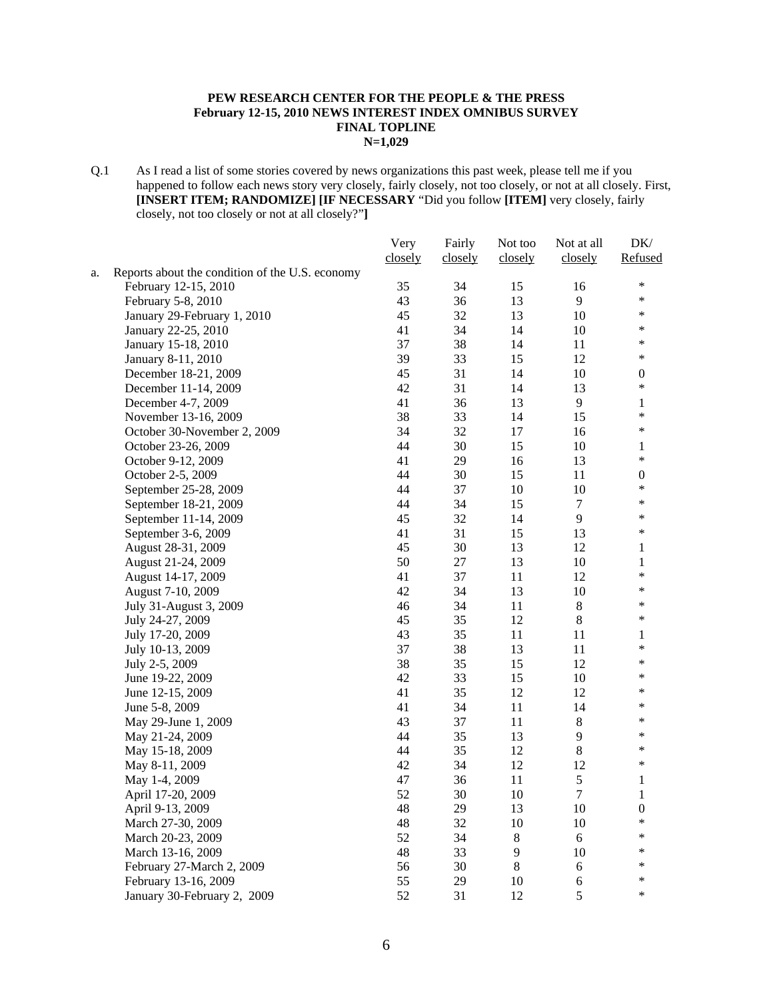#### **PEW RESEARCH CENTER FOR THE PEOPLE & THE PRESS February 12-15, 2010 NEWS INTEREST INDEX OMNIBUS SURVEY FINAL TOPLINE N=1,029**

Q.1 As I read a list of some stories covered by news organizations this past week, please tell me if you happened to follow each news story very closely, fairly closely, not too closely, or not at all closely. First, **[INSERT ITEM; RANDOMIZE] [IF NECESSARY** "Did you follow **[ITEM]** very closely, fairly closely, not too closely or not at all closely?"**]** 

|    |                                                 | Very    | Fairly  | Not too | Not at all       | DK/              |
|----|-------------------------------------------------|---------|---------|---------|------------------|------------------|
|    |                                                 | closely | closely | closely | closely          | Refused          |
| a. | Reports about the condition of the U.S. economy |         |         |         |                  |                  |
|    | February 12-15, 2010                            | 35      | 34      | 15      | 16               | $\ast$           |
|    | February 5-8, 2010                              | 43      | 36      | 13      | 9                | $\ast$           |
|    | January 29-February 1, 2010                     | 45      | 32      | 13      | 10               | $\ast$           |
|    | January 22-25, 2010                             | 41      | 34      | 14      | 10               | $\ast$           |
|    | January 15-18, 2010                             | 37      | 38      | 14      | 11               | $\ast$           |
|    | January 8-11, 2010                              | 39      | 33      | 15      | 12               | $\ast$           |
|    | December 18-21, 2009                            | 45      | 31      | 14      | 10               | $\boldsymbol{0}$ |
|    | December 11-14, 2009                            | 42      | 31      | 14      | 13               | $\ast$           |
|    | December 4-7, 2009                              | 41      | 36      | 13      | 9                | 1                |
|    | November 13-16, 2009                            | 38      | 33      | 14      | 15               | $\ast$           |
|    | October 30-November 2, 2009                     | 34      | 32      | 17      | 16               | $\ast$           |
|    | October 23-26, 2009                             | 44      | 30      | 15      | 10               | 1                |
|    | October 9-12, 2009                              | 41      | 29      | 16      | 13               | $\ast$           |
|    | October 2-5, 2009                               | 44      | 30      | 15      | 11               | $\boldsymbol{0}$ |
|    | September 25-28, 2009                           | 44      | 37      | 10      | 10               | $\ast$           |
|    | September 18-21, 2009                           | 44      | 34      | 15      | $\tau$           | $\ast$           |
|    | September 11-14, 2009                           | 45      | 32      | 14      | 9                | $\ast$           |
|    | September 3-6, 2009                             | 41      | 31      | 15      | 13               | $\ast$           |
|    | August 28-31, 2009                              | 45      | 30      | 13      | 12               | $\mathbf{1}$     |
|    | August 21-24, 2009                              | 50      | 27      | 13      | $10\,$           | $\mathbf{1}$     |
|    | August 14-17, 2009                              | 41      | 37      | 11      | 12               | $\ast$           |
|    | August 7-10, 2009                               | 42      | 34      | 13      | 10               | $\ast$           |
|    | July 31-August 3, 2009                          | 46      | 34      | 11      | $\,8\,$          | $\ast$           |
|    | July 24-27, 2009                                | 45      | 35      | 12      | $8\,$            | $\ast$           |
|    | July 17-20, 2009                                | 43      | 35      | 11      | 11               | 1                |
|    | July 10-13, 2009                                | 37      | 38      | 13      | 11               | $\ast$           |
|    | July 2-5, 2009                                  | 38      | 35      | 15      | 12               | $\ast$           |
|    | June 19-22, 2009                                | 42      | 33      | 15      | 10               | $\ast$           |
|    | June 12-15, 2009                                | 41      | 35      | 12      | 12               | $\ast$           |
|    | June 5-8, 2009                                  | 41      | 34      | $11\,$  | 14               | $\ast$           |
|    | May 29-June 1, 2009                             | 43      | 37      | 11      | $\,8\,$          | $\ast$           |
|    | May 21-24, 2009                                 | 44      | 35      | 13      | $\overline{9}$   | $\ast$           |
|    | May 15-18, 2009                                 | 44      | 35      | 12      | 8                | $\ast$           |
|    | May 8-11, 2009                                  | 42      | 34      | 12      | 12               | $\ast$           |
|    | May 1-4, 2009                                   | 47      | 36      | 11      | 5                | $\mathbf{1}$     |
|    | April 17-20, 2009                               | 52      | 30      | 10      | $\tau$           | $\mathbf{1}$     |
|    | April 9-13, 2009                                | 48      | 29      | 13      | 10               | $\boldsymbol{0}$ |
|    | March 27-30, 2009                               | 48      | 32      | 10      | 10               | $\ast$           |
|    | March 20-23, 2009                               | 52      | 34      | $8\,$   | $6\,$            | *                |
|    | March 13-16, 2009                               | 48      | 33      | 9       | 10               | ∗                |
|    | February 27-March 2, 2009                       | 56      | 30      | $8\,$   | $\boldsymbol{6}$ | $\ast$           |
|    | February 13-16, 2009                            | 55      | 29      | 10      | 6                | $\ast$           |
|    | January 30-February 2, 2009                     | 52      | 31      | 12      | 5                | $\ast$           |
|    |                                                 |         |         |         |                  |                  |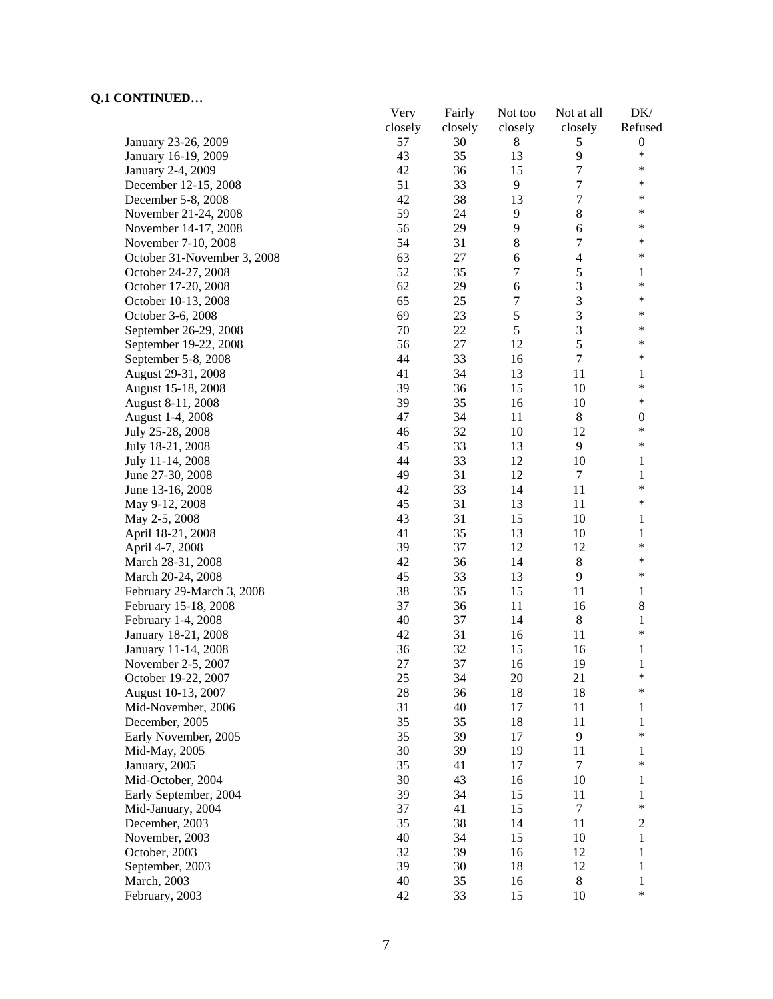|                             | Very    | Fairly  | Not too        | Not at all       | DK/              |
|-----------------------------|---------|---------|----------------|------------------|------------------|
|                             | closely | closely | closely        | closely          | Refused          |
| January 23-26, 2009         | 57      | 30      | $8\,$          | 5                | $\boldsymbol{0}$ |
| January 16-19, 2009         | 43      | 35      | 13             | 9                | $\ast$           |
| January 2-4, 2009           | 42      | 36      | 15             | 7                | $\ast$           |
| December 12-15, 2008        | 51      | 33      | 9              | $\boldsymbol{7}$ | $\ast$           |
| December 5-8, 2008          | 42      | 38      | 13             | $\boldsymbol{7}$ | ∗                |
| November 21-24, 2008        | 59      | 24      | 9              | $8\,$            | $\ast$           |
| November 14-17, 2008        | 56      | 29      | $\overline{9}$ | 6                | $\ast$           |
| November 7-10, 2008         | 54      | 31      | $8\,$          | $\boldsymbol{7}$ | ∗                |
| October 31-November 3, 2008 | 63      | 27      | $\sqrt{6}$     | $\overline{4}$   | $\ast$           |
| October 24-27, 2008         | 52      | 35      | $\tau$         | 5                | 1                |
| October 17-20, 2008         | 62      | 29      | $\sqrt{6}$     | 3                | $\ast$           |
| October 10-13, 2008         | 65      | 25      | 7              | 3                | $\ast$           |
| October 3-6, 2008           | 69      | 23      | $\sqrt{5}$     | 3                | $\ast$           |
| September 26-29, 2008       | 70      | 22      | $\sqrt{5}$     | $\mathfrak{Z}$   | ∗                |
| September 19-22, 2008       | 56      | 27      | 12             | 5                | $\ast$           |
| September 5-8, 2008         | 44      | 33      | 16             | $\overline{7}$   | $\ast$           |
| August 29-31, 2008          | 41      | 34      | 13             | 11               | 1                |
| August 15-18, 2008          | 39      | 36      | 15             | 10               | $\ast$           |
| August 8-11, 2008           | 39      | 35      | 16             | 10               | $\ast$           |
| August 1-4, 2008            | 47      | 34      | 11             | 8                | $\boldsymbol{0}$ |
| July 25-28, 2008            | 46      | 32      | 10             | 12               | $\ast$           |
| July 18-21, 2008            | 45      | 33      | 13             | 9                | $\ast$           |
| July 11-14, 2008            | 44      | 33      | 12             | 10               | 1                |
| June 27-30, 2008            | 49      | 31      | 12             | $\boldsymbol{7}$ | 1                |
| June 13-16, 2008            | 42      | 33      | 14             | 11               | $\ast$           |
| May 9-12, 2008              | 45      | 31      | 13             | 11               | $\ast$           |
| May 2-5, 2008               | 43      | 31      | 15             | 10               | $\mathbf{1}$     |
| April 18-21, 2008           | 41      | 35      | 13             | 10               | 1                |
| April 4-7, 2008             | 39      | 37      | 12             | 12               | $\ast$           |
| March 28-31, 2008           | 42      | 36      | 14             | $8\,$            | $\ast$           |
| March 20-24, 2008           | 45      | 33      | 13             | 9                | $\ast$           |
| February 29-March 3, 2008   | 38      | 35      | 15             | 11               | $\mathbf{1}$     |
| February 15-18, 2008        | 37      | 36      | 11             | 16               | $\,8\,$          |
| February 1-4, 2008          | 40      | 37      | 14             | $\,8\,$          | 1                |
| January 18-21, 2008         | 42      | 31      | 16             | 11               | $\ast$           |
| January 11-14, 2008         | 36      | 32      | 15             | 16               | 1                |
| November 2-5, 2007          | 27      | 37      | 16             | 19               | 1                |
| October 19-22, 2007         | 25      | 34      | 20             | 21               | ∗                |
| August 10-13, 2007          | 28      | 36      | 18             | 18               | $\ast$           |
| Mid-November, 2006          | 31      | 40      | 17             | 11               | 1                |
| December, 2005              | 35      | 35      | 18             | 11               | 1                |
| Early November, 2005        | 35      | 39      | 17             | 9                | $\ast$           |
| Mid-May, 2005               | 30      | 39      | 19             | 11               | 1                |
| January, 2005               | 35      | 41      | 17             | 7                | $\ast$           |
| Mid-October, 2004           | 30      | 43      | 16             | 10               | 1                |
| Early September, 2004       | 39      | 34      | 15             | 11               | 1                |
| Mid-January, 2004           | 37      | 41      | 15             | $\tau$           | $\ast$           |
| December, 2003              | 35      | 38      | 14             | 11               | $\boldsymbol{2}$ |
| November, 2003              | 40      | 34      | 15             | 10               | $\mathbf{1}$     |
| October, 2003               | 32      | 39      | 16             | 12               | 1                |
| September, 2003             | 39      | 30      | 18             | 12               | 1                |
| March, 2003                 | 40      | 35      | 16             | $\,8\,$          | 1                |
|                             | 42      | 33      | 15             | 10               | $\ast$           |
| February, 2003              |         |         |                |                  |                  |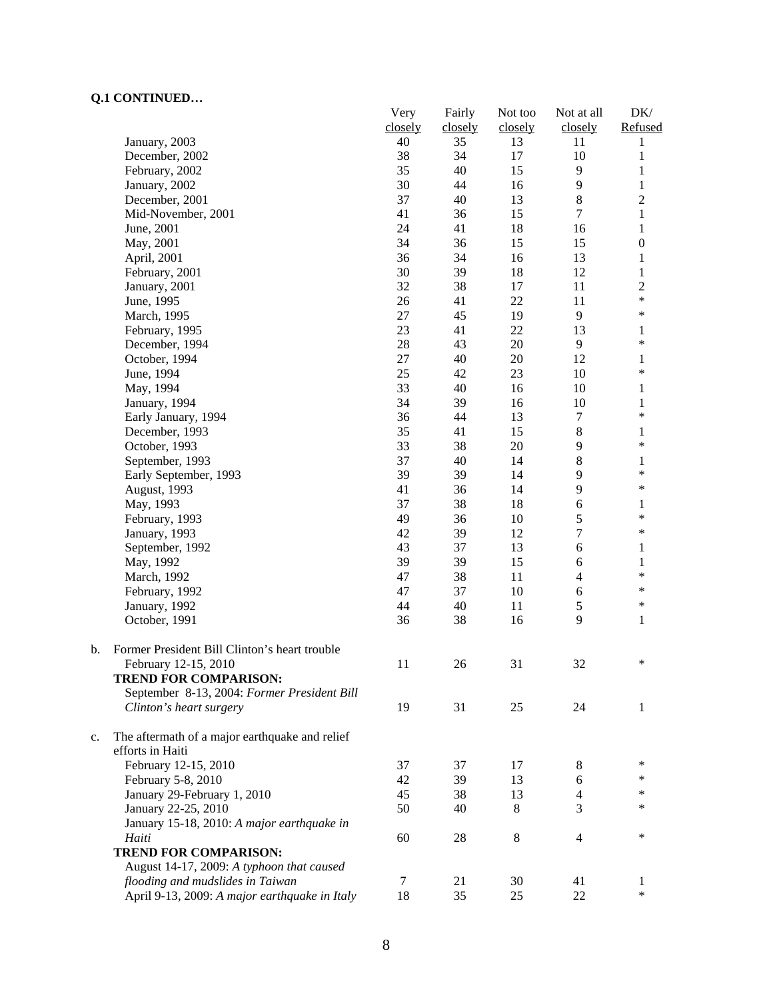|    | ---------                                      | Very          | Fairly        | Not too       | Not at all     | DK/                    |
|----|------------------------------------------------|---------------|---------------|---------------|----------------|------------------------|
|    | January, 2003                                  | closely<br>40 | closely<br>35 | closely<br>13 | closely<br>11  | Refused<br>1           |
|    | December, 2002                                 | 38            | 34            | 17            | 10             | $\mathbf{1}$           |
|    | February, 2002                                 | 35            | 40            | 15            | 9              | 1                      |
|    | January, 2002                                  | 30            | 44            | 16            | 9              | $\,1$                  |
|    | December, 2001                                 | 37            | 40            | 13            | $\,8\,$        | $\overline{c}$         |
|    | Mid-November, 2001                             | 41            | 36            | 15            | $\tau$         | $\mathbf{1}$           |
|    | June, 2001                                     | 24            | 41            | 18            | 16             | $\mathbf{1}$           |
|    | May, 2001                                      | 34            | 36            | 15            | 15             | $\boldsymbol{0}$       |
|    | April, 2001                                    | 36            | 34            | 16            | 13             | 1                      |
|    | February, 2001                                 | 30            | 39            | 18            | 12             | $\mathbf{1}$           |
|    | January, 2001                                  | 32            | 38            | 17            | 11             | $\overline{2}$         |
|    | June, 1995                                     | 26            | 41            | 22            | 11             | $\ast$                 |
|    | March, 1995                                    | $27\,$        | 45            | 19            | 9              | $\ast$                 |
|    | February, 1995                                 | 23            | 41            | 22            | 13             | 1                      |
|    | December, 1994                                 | $28\,$        | 43            | 20            | 9              | $\ast$                 |
|    | October, 1994                                  | 27            | 40            | 20            | 12             | 1                      |
|    | June, 1994                                     | 25            | 42            | 23            | 10             | $\ast$                 |
|    |                                                | 33            | 40            |               |                |                        |
|    | May, 1994                                      | 34            | 39            | 16<br>16      | 10<br>10       | 1                      |
|    | January, 1994<br>Early January, 1994           | 36            | 44            | 13            | $\overline{7}$ | $\mathbf{1}$<br>*      |
|    |                                                |               |               | 15            |                |                        |
|    | December, 1993                                 | 35            | 41<br>38      | 20            | 8<br>9         | 1<br>$\ast$            |
|    | October, 1993                                  | 33            |               |               | 8              |                        |
|    | September, 1993                                | 37            | 40            | 14            |                | 1<br>$\ast$            |
|    | Early September, 1993                          | 39            | 39            | 14            | 9<br>9         | $\ast$                 |
|    | August, 1993                                   | 41            | 36            | 14            |                |                        |
|    | May, 1993                                      | 37            | 38            | 18            | 6              | 1<br>$\ast$            |
|    | February, 1993                                 | 49            | 36            | 10            | 5              | $\ast$                 |
|    | January, 1993                                  | 42            | 39            | 12            | $\tau$         |                        |
|    | September, 1992                                | 43            | 37            | 13            | 6              | 1                      |
|    | May, 1992                                      | 39            | 39            | 15            | 6              | $\mathbf{1}$<br>$\ast$ |
|    | March, 1992                                    | 47            | 38            | 11            | $\overline{4}$ | $\ast$                 |
|    | February, 1992                                 | 47            | 37            | 10            | 6              | $\ast$                 |
|    | January, 1992                                  | 44            | 40            | 11            | $\sqrt{5}$     |                        |
|    | October, 1991                                  | 36            | 38            | 16            | 9              | 1                      |
| b. | Former President Bill Clinton's heart trouble  |               |               |               |                | $\ast$                 |
|    | February 12-15, 2010                           | 11            | 26            | 31            | 32             |                        |
|    | <b>TREND FOR COMPARISON:</b>                   |               |               |               |                |                        |
|    | September 8-13, 2004: Former President Bill    |               |               |               |                |                        |
|    | Clinton's heart surgery                        | 19            | 31            | 25            | 24             | 1                      |
| c. | The aftermath of a major earthquake and relief |               |               |               |                |                        |
|    | efforts in Haiti                               |               |               |               |                |                        |
|    | February 12-15, 2010                           | 37            | 37            | 17            | 8              | ∗                      |
|    | February 5-8, 2010                             | 42            | 39            | 13            | 6              | $\ast$<br>∗            |
|    | January 29-February 1, 2010                    | 45            | 38            | 13            | $\overline{4}$ |                        |
|    | January 22-25, 2010                            | 50            | 40            | 8             | 3              | *                      |
|    | January 15-18, 2010: A major earthquake in     |               |               |               |                |                        |
|    | Haiti                                          | 60            | 28            | 8             | 4              | $\ast$                 |
|    | <b>TREND FOR COMPARISON:</b>                   |               |               |               |                |                        |
|    | August 14-17, 2009: A typhoon that caused      |               |               |               |                |                        |
|    | flooding and mudslides in Taiwan               | 7             | 21            | 30            | 41             | 1                      |
|    | April 9-13, 2009: A major earthquake in Italy  | 18            | 35            | 25            | 22             | $\ast$                 |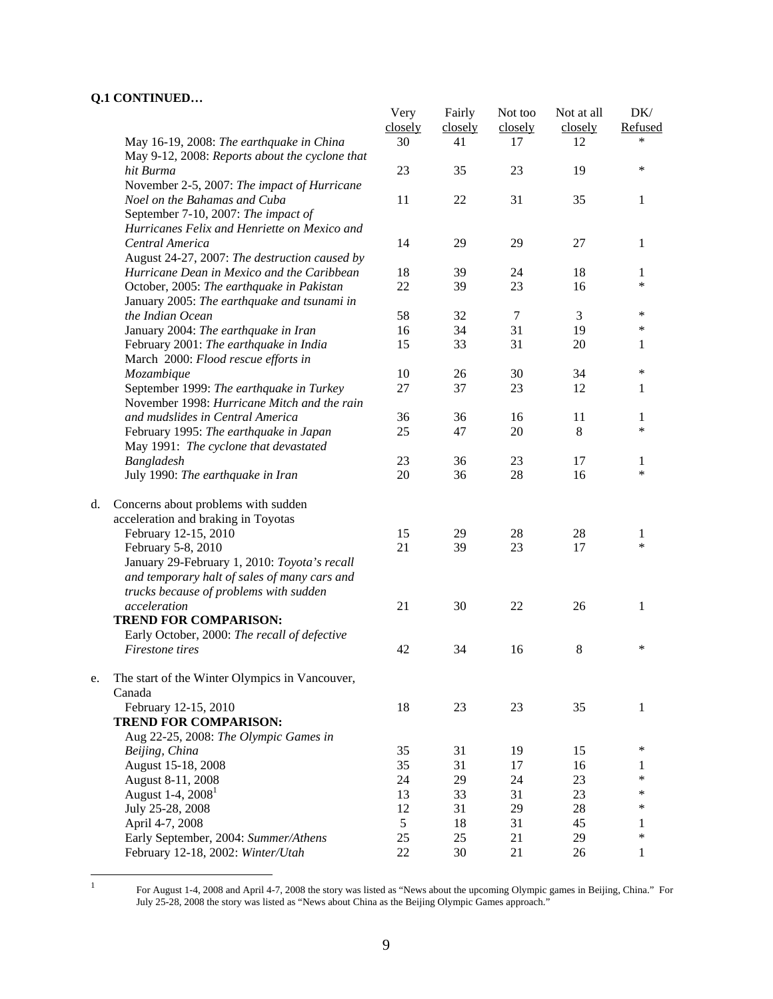|    |                                                                                            | Very<br>closely | Fairly<br>closely | Not too<br>closely | Not at all<br>closely | DK/<br>Refused |
|----|--------------------------------------------------------------------------------------------|-----------------|-------------------|--------------------|-----------------------|----------------|
|    | May 16-19, 2008: The earthquake in China<br>May 9-12, 2008: Reports about the cyclone that | 30              | 41                | 17                 | 12                    | *              |
|    | hit Burma                                                                                  | 23              | 35                | 23                 | 19                    | $\ast$         |
|    | November 2-5, 2007: The impact of Hurricane                                                |                 |                   |                    |                       |                |
|    | Noel on the Bahamas and Cuba                                                               | 11              | 22                | 31                 | 35                    | 1              |
|    | September 7-10, 2007: The impact of                                                        |                 |                   |                    |                       |                |
|    | Hurricanes Felix and Henriette on Mexico and                                               |                 |                   |                    |                       |                |
|    | Central America                                                                            | 14              | 29                | 29                 | 27                    | 1              |
|    | August 24-27, 2007: The destruction caused by                                              |                 |                   |                    |                       |                |
|    | Hurricane Dean in Mexico and the Caribbean                                                 | 18              | 39                | 24                 | 18                    | 1              |
|    | October, 2005: The earthquake in Pakistan                                                  | 22              | 39                | 23                 | 16                    | $\ast$         |
|    | January 2005: The earthquake and tsunami in                                                |                 |                   |                    |                       |                |
|    | the Indian Ocean                                                                           | 58              | 32                | $\tau$             | 3                     | $\ast$         |
|    | January 2004: The earthquake in Iran                                                       | 16              | 34                | 31                 | 19                    | $\ast$         |
|    | February 2001: The earthquake in India<br>March 2000: Flood rescue efforts in              | 15              | 33                | 31                 | 20                    | 1              |
|    | Mozambique                                                                                 | 10              | 26                | 30                 | 34                    | $\ast$         |
|    | September 1999: The earthquake in Turkey                                                   | 27              | 37                | 23                 | 12                    | 1              |
|    | November 1998: Hurricane Mitch and the rain                                                |                 |                   |                    |                       |                |
|    | and mudslides in Central America                                                           | 36              | 36                | 16                 | 11                    | 1              |
|    | February 1995: The earthquake in Japan                                                     | 25              | 47                | 20                 | 8                     | $\ast$         |
|    | May 1991: The cyclone that devastated                                                      |                 |                   |                    |                       |                |
|    | Bangladesh                                                                                 | 23              | 36                | 23                 | 17                    | 1              |
|    | July 1990: The earthquake in Iran                                                          | 20              | 36                | 28                 | 16                    | $\ast$         |
| d. | Concerns about problems with sudden                                                        |                 |                   |                    |                       |                |
|    | acceleration and braking in Toyotas                                                        |                 |                   |                    |                       |                |
|    | February 12-15, 2010                                                                       | 15              | 29                | 28                 | 28                    | 1              |
|    | February 5-8, 2010                                                                         | 21              | 39                | 23                 | 17                    | *              |
|    | January 29-February 1, 2010: Toyota's recall                                               |                 |                   |                    |                       |                |
|    | and temporary halt of sales of many cars and                                               |                 |                   |                    |                       |                |
|    | trucks because of problems with sudden                                                     |                 |                   |                    |                       |                |
|    | acceleration                                                                               | 21              | 30                | 22                 | 26                    | 1              |
|    | <b>TREND FOR COMPARISON:</b>                                                               |                 |                   |                    |                       |                |
|    | Early October, 2000: The recall of defective                                               |                 |                   |                    |                       |                |
|    | Firestone tires                                                                            | 42              | 34                | 16                 | 8                     | $\ast$         |
| e. | The start of the Winter Olympics in Vancouver,                                             |                 |                   |                    |                       |                |
|    | Canada                                                                                     |                 |                   |                    |                       |                |
|    | February 12-15, 2010                                                                       | 18              | 23                | 23                 | 35                    | 1              |
|    | <b>TREND FOR COMPARISON:</b>                                                               |                 |                   |                    |                       |                |
|    | Aug 22-25, 2008: The Olympic Games in                                                      |                 |                   |                    |                       | ∗              |
|    | Beijing, China                                                                             | 35              | 31                | 19                 | 15                    |                |
|    | August 15-18, 2008                                                                         | 35              | 31                | 17                 | 16                    | 1<br>$\ast$    |
|    | August 8-11, 2008                                                                          | 24              | 29                | 24                 | 23                    | $\ast$         |
|    | August 1-4, 2008 <sup>1</sup>                                                              | 13              | 33                | 31                 | 23                    | $\ast$         |
|    | July 25-28, 2008                                                                           | 12              | 31                | 29                 | 28                    |                |
|    | April 4-7, 2008                                                                            | 5               | 18                | 31                 | 45                    | 1<br>$\ast$    |
|    | Early September, 2004: Summer/Athens                                                       | 25              | 25                | 21                 | 29                    |                |
|    | February 12-18, 2002: Winter/Utah                                                          | 22              | 30                | 21                 | 26                    | 1              |

 $\,1$ 

<sup>&</sup>lt;sup>1</sup> For August 1-4, 2008 and April 4-7, 2008 the story was listed as "News about the upcoming Olympic games in Beijing, China." For July 25-28, 2008 the story was listed as "News about China as the Beijing Olympic Games approach."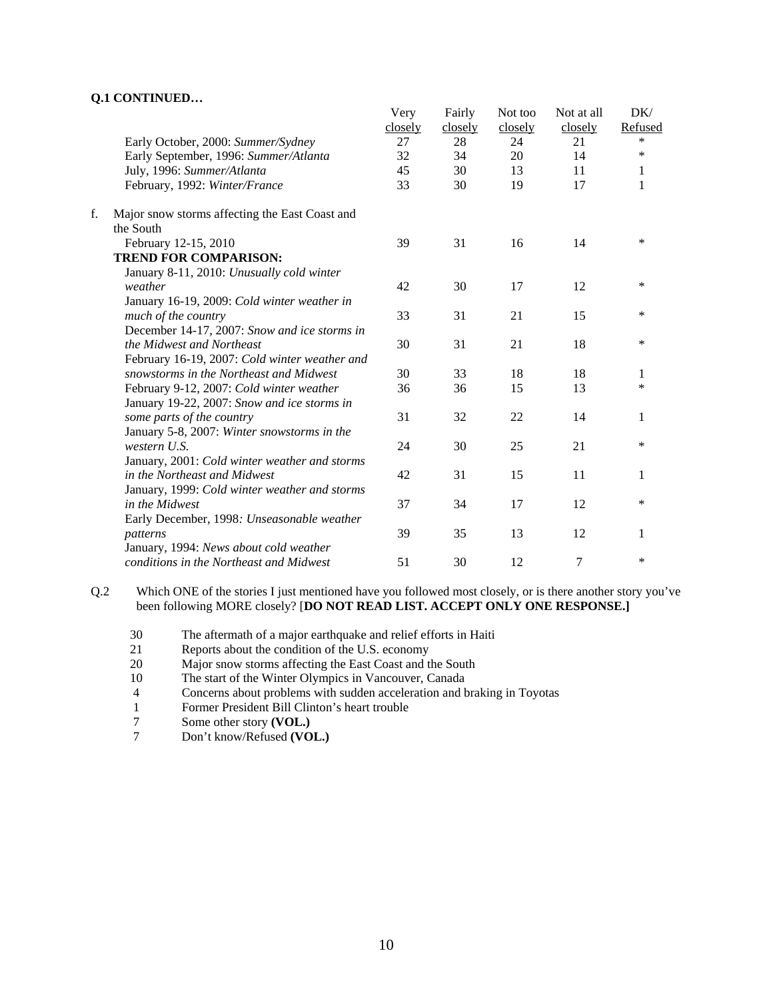|    |                                                | Very<br>closely | Fairly<br>closely | Not too<br>closely | Not at all<br>closely | DK/<br>Refused |
|----|------------------------------------------------|-----------------|-------------------|--------------------|-----------------------|----------------|
|    | Early October, 2000: Summer/Sydney             | 27              | 28                | 24                 | 21                    | $\ast$         |
|    | Early September, 1996: Summer/Atlanta          | 32              | 34                | 20                 | 14                    | $\ast$         |
|    | July, 1996: Summer/Atlanta                     | 45              | 30                | 13                 | 11                    | 1              |
|    | February, 1992: Winter/France                  | 33              | 30                | 19                 | 17                    | 1              |
| f. | Major snow storms affecting the East Coast and |                 |                   |                    |                       |                |
|    | the South                                      |                 |                   |                    |                       |                |
|    | February 12-15, 2010                           | 39              | 31                | 16                 | 14                    | $\ast$         |
|    | <b>TREND FOR COMPARISON:</b>                   |                 |                   |                    |                       |                |
|    | January 8-11, 2010: Unusually cold winter      |                 |                   |                    |                       |                |
|    | weather                                        | 42              | 30                | 17                 | 12                    | $\ast$         |
|    | January 16-19, 2009: Cold winter weather in    |                 |                   |                    |                       |                |
|    | much of the country                            | 33              | 31                | 21                 | 15                    | *              |
|    | December 14-17, 2007: Snow and ice storms in   |                 |                   |                    |                       |                |
|    | the Midwest and Northeast                      | 30              | 31                | 21                 | 18                    | $\ast$         |
|    | February 16-19, 2007: Cold winter weather and  |                 |                   |                    |                       |                |
|    | snowstorms in the Northeast and Midwest        | 30              | 33                | 18                 | 18                    | 1              |
|    | February 9-12, 2007: Cold winter weather       | 36              | 36                | 15                 | 13                    | $\ast$         |
|    | January 19-22, 2007: Snow and ice storms in    |                 |                   |                    |                       |                |
|    | some parts of the country                      | 31              | 32                | 22                 | 14                    | 1              |
|    | January 5-8, 2007: Winter snowstorms in the    |                 |                   |                    |                       |                |
|    | western U.S.                                   | 24              | 30                | 25                 | 21                    | *              |
|    | January, 2001: Cold winter weather and storms  |                 |                   |                    |                       |                |
|    | in the Northeast and Midwest                   | 42              | 31                | 15                 | 11                    | 1              |
|    | January, 1999: Cold winter weather and storms  |                 |                   |                    |                       |                |
|    | in the Midwest                                 | 37              | 34                | 17                 | 12                    | $\ast$         |
|    | Early December, 1998: Unseasonable weather     |                 |                   |                    |                       |                |
|    | patterns                                       | 39              | 35                | 13                 | 12                    | 1              |
|    | January, 1994: News about cold weather         |                 |                   |                    |                       |                |
|    | conditions in the Northeast and Midwest        | 51              | 30                | 12                 | 7                     | $\ast$         |
|    |                                                |                 |                   |                    |                       |                |

Q.2 Which ONE of the stories I just mentioned have you followed most closely, or is there another story you've been following MORE closely? [**DO NOT READ LIST. ACCEPT ONLY ONE RESPONSE.]** 

- 30 The aftermath of a major earthquake and relief efforts in Haiti
- 21 Reports about the condition of the U.S. economy
- 20 Major snow storms affecting the East Coast and the South
- 10 The start of the Winter Olympics in Vancouver, Canada
- 4 Concerns about problems with sudden acceleration and braking in Toyotas<br>1 Former President Bill Clinton's heart trouble
- 1 Former President Bill Clinton's heart trouble<br>
7 Some other story (VOL.)
- 7 Some other story **(VOL.)**<br>7 Don't know/Refused **(VO**
- 7 Don't know/Refused **(VOL.)**